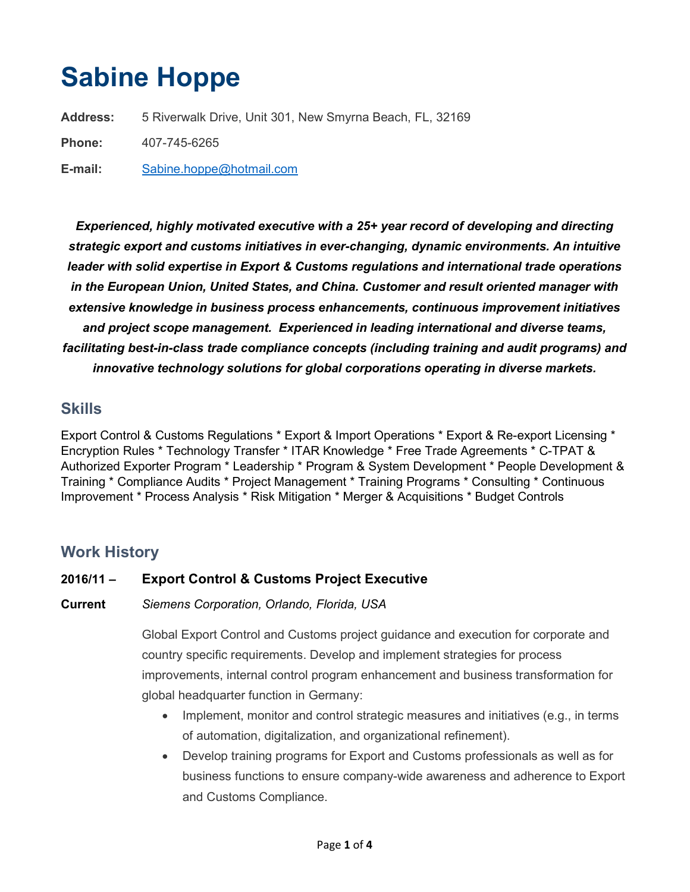# Sabine Hoppe

Address: 5 Riverwalk Drive, Unit 301, New Smyrna Beach, FL, 32169 Phone: 407-745-6265

E-mail: Sabine.hoppe@hotmail.com

Experienced, highly motivated executive with a 25+ year record of developing and directing strategic export and customs initiatives in ever-changing, dynamic environments. An intuitive leader with solid expertise in Export & Customs regulations and international trade operations in the European Union, United States, and China. Customer and result oriented manager with extensive knowledge in business process enhancements, continuous improvement initiatives and project scope management. Experienced in leading international and diverse teams, facilitating best-in-class trade compliance concepts (including training and audit programs) and innovative technology solutions for global corporations operating in diverse markets.

## **Skills**

Export Control & Customs Regulations \* Export & Import Operations \* Export & Re-export Licensing \* Encryption Rules \* Technology Transfer \* ITAR Knowledge \* Free Trade Agreements \* C-TPAT & Authorized Exporter Program \* Leadership \* Program & System Development \* People Development & Training \* Compliance Audits \* Project Management \* Training Programs \* Consulting \* Continuous Improvement \* Process Analysis \* Risk Mitigation \* Merger & Acquisitions \* Budget Controls

## Work History

#### 2016/11 – Export Control & Customs Project Executive

Current Siemens Corporation, Orlando, Florida, USA

Global Export Control and Customs project guidance and execution for corporate and country specific requirements. Develop and implement strategies for process improvements, internal control program enhancement and business transformation for global headquarter function in Germany:

- Implement, monitor and control strategic measures and initiatives (e.g., in terms of automation, digitalization, and organizational refinement).
- Develop training programs for Export and Customs professionals as well as for business functions to ensure company-wide awareness and adherence to Export and Customs Compliance.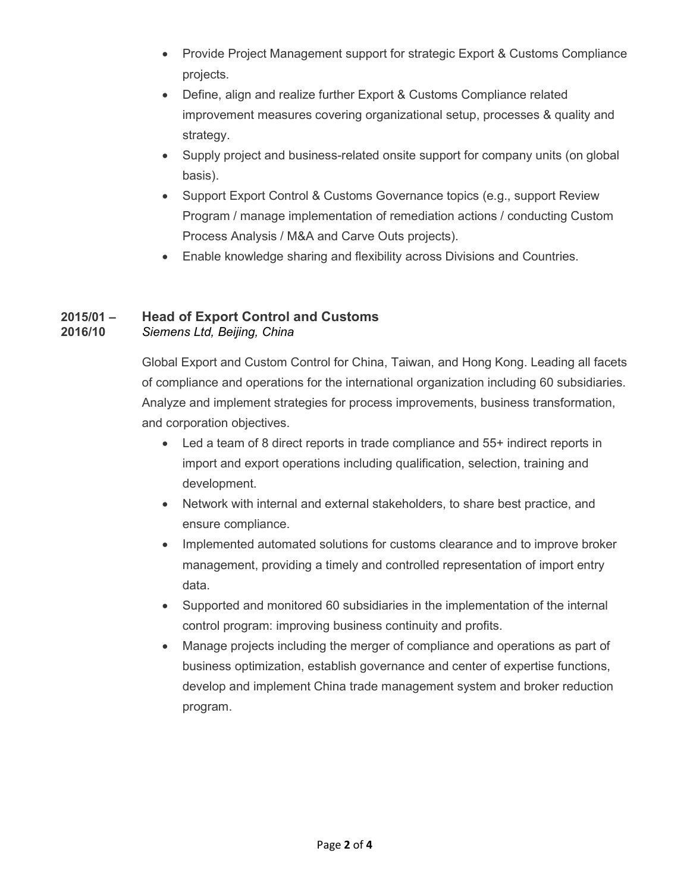- Provide Project Management support for strategic Export & Customs Compliance projects.
- Define, align and realize further Export & Customs Compliance related improvement measures covering organizational setup, processes & quality and strategy.
- Supply project and business-related onsite support for company units (on global basis).
- Support Export Control & Customs Governance topics (e.g., support Review Program / manage implementation of remediation actions / conducting Custom Process Analysis / M&A and Carve Outs projects).
- Enable knowledge sharing and flexibility across Divisions and Countries.

#### 2015/01 – Head of Export Control and Customs 2016/10 Siemens Ltd, Beijing, China

Global Export and Custom Control for China, Taiwan, and Hong Kong. Leading all facets of compliance and operations for the international organization including 60 subsidiaries. Analyze and implement strategies for process improvements, business transformation, and corporation objectives.

- Led a team of 8 direct reports in trade compliance and 55+ indirect reports in import and export operations including qualification, selection, training and development.
- Network with internal and external stakeholders, to share best practice, and ensure compliance.
- Implemented automated solutions for customs clearance and to improve broker management, providing a timely and controlled representation of import entry data.
- Supported and monitored 60 subsidiaries in the implementation of the internal control program: improving business continuity and profits.
- Manage projects including the merger of compliance and operations as part of business optimization, establish governance and center of expertise functions, develop and implement China trade management system and broker reduction program.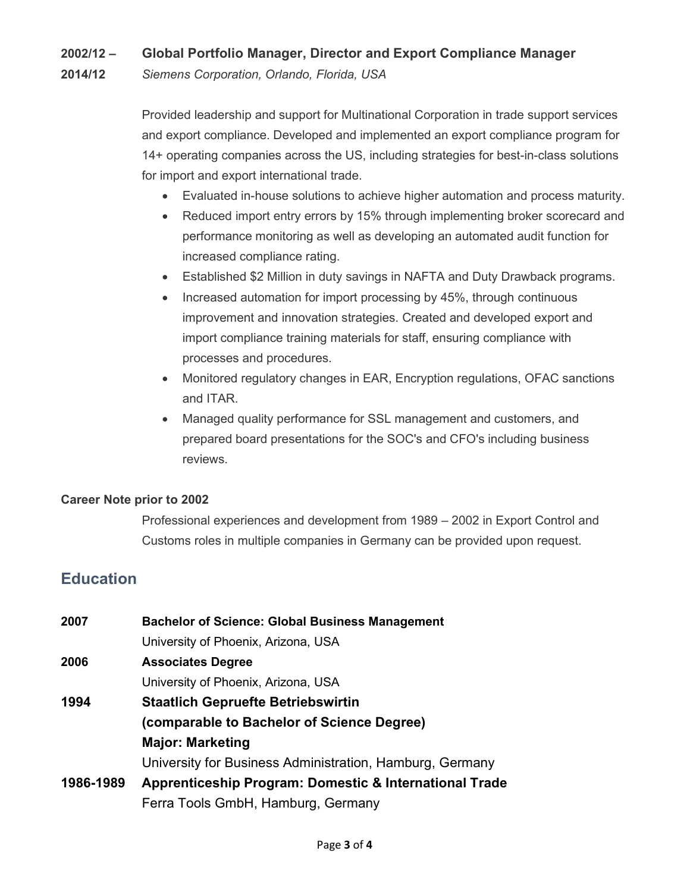### 2002/12 – Global Portfolio Manager, Director and Export Compliance Manager

2014/12 Siemens Corporation, Orlando, Florida, USA

Provided leadership and support for Multinational Corporation in trade support services and export compliance. Developed and implemented an export compliance program for 14+ operating companies across the US, including strategies for best-in-class solutions for import and export international trade.

- Evaluated in-house solutions to achieve higher automation and process maturity.
- Reduced import entry errors by 15% through implementing broker scorecard and performance monitoring as well as developing an automated audit function for increased compliance rating.
- Established \$2 Million in duty savings in NAFTA and Duty Drawback programs.
- Increased automation for import processing by 45%, through continuous improvement and innovation strategies. Created and developed export and import compliance training materials for staff, ensuring compliance with processes and procedures.
- Monitored regulatory changes in EAR, Encryption regulations, OFAC sanctions and ITAR.
- Managed quality performance for SSL management and customers, and prepared board presentations for the SOC's and CFO's including business reviews.

#### Career Note prior to 2002

Professional experiences and development from 1989 – 2002 in Export Control and Customs roles in multiple companies in Germany can be provided upon request.

# **Education**

| 2007      | <b>Bachelor of Science: Global Business Management</b>   |
|-----------|----------------------------------------------------------|
|           | University of Phoenix, Arizona, USA                      |
| 2006      | <b>Associates Degree</b>                                 |
|           | University of Phoenix, Arizona, USA                      |
| 1994      | <b>Staatlich Gepruefte Betriebswirtin</b>                |
|           | (comparable to Bachelor of Science Degree)               |
|           | <b>Major: Marketing</b>                                  |
|           | University for Business Administration, Hamburg, Germany |
| 1986-1989 | Apprenticeship Program: Domestic & International Trade   |
|           | Ferra Tools GmbH, Hamburg, Germany                       |